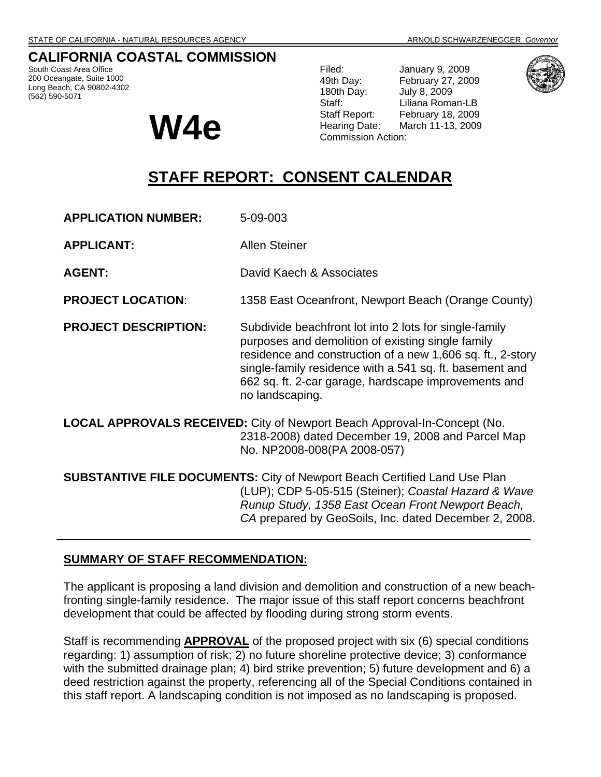## **CALIFORNIA COASTAL COMMISSION**

South Coast Area Office 200 Oceangate, Suite 1000 Long Beach, CA 90802-4302 (562) 590-5071



Filed: January 9, 2009 49th Day: February 27, 2009 180th Day: July 8, 2009 Staff: Liliana Roman-LB<br>Staff Report: February 18, 2009 February 18, 2009 W4e **Water the Starf Warehout** Commission Action:



# **STAFF REPORT: CONSENT CALENDAR**

**APPLICATION NUMBER:** 5-09-003

**APPLICANT:** Allen Steiner

**AGENT:** David Kaech & Associates

**PROJECT LOCATION:** 1358 East Oceanfront, Newport Beach (Orange County)

**PROJECT DESCRIPTION:** Subdivide beachfront lot into 2 lots for single-family purposes and demolition of existing single family residence and construction of a new 1,606 sq. ft., 2-story single-family residence with a 541 sq. ft. basement and 662 sq. ft. 2-car garage, hardscape improvements and no landscaping.

**LOCAL APPROVALS RECEIVED:** City of Newport Beach Approval-In-Concept (No. 2318-2008) dated December 19, 2008 and Parcel Map No. NP2008-008(PA 2008-057)

**SUBSTANTIVE FILE DOCUMENTS:** City of Newport Beach Certified Land Use Plan (LUP); CDP 5-05-515 (Steiner); *Coastal Hazard & Wave Runup Study, 1358 East Ocean Front Newport Beach, CA* prepared by GeoSoils, Inc. dated December 2, 2008.

### **SUMMARY OF STAFF RECOMMENDATION:**

The applicant is proposing a land division and demolition and construction of a new beachfronting single-family residence. The major issue of this staff report concerns beachfront development that could be affected by flooding during strong storm events.

Staff is recommending **APPROVAL** of the proposed project with six (6) special conditions regarding: 1) assumption of risk; 2) no future shoreline protective device; 3) conformance with the submitted drainage plan; 4) bird strike prevention; 5) future development and 6) a deed restriction against the property, referencing all of the Special Conditions contained in this staff report. A landscaping condition is not imposed as no landscaping is proposed.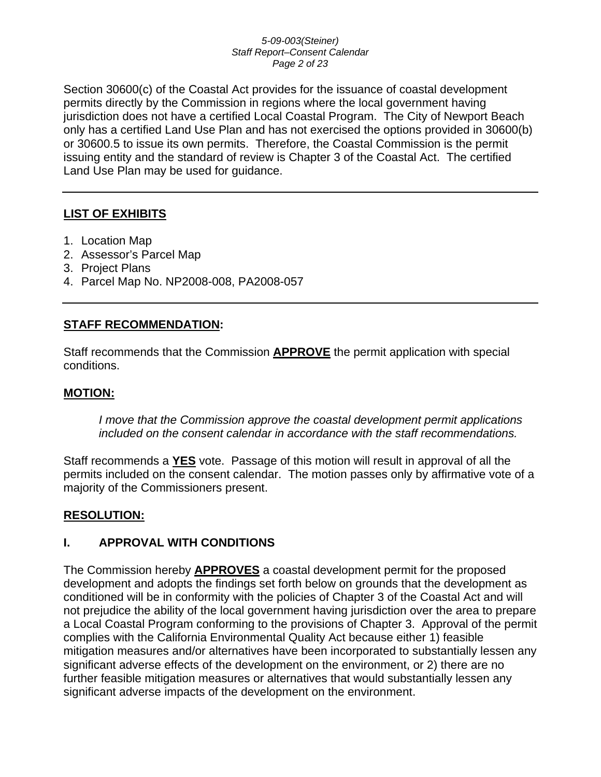### *5-09-003(Steiner) Staff Report–Consent Calendar Page 2 of 23*

Section 30600(c) of the Coastal Act provides for the issuance of coastal development permits directly by the Commission in regions where the local government having jurisdiction does not have a certified Local Coastal Program. The City of Newport Beach only has a certified Land Use Plan and has not exercised the options provided in 30600(b) or 30600.5 to issue its own permits. Therefore, the Coastal Commission is the permit issuing entity and the standard of review is Chapter 3 of the Coastal Act. The certified Land Use Plan may be used for guidance.

## **LIST OF EXHIBITS**

- 1. Location Map
- 2. Assessor's Parcel Map
- 3. Project Plans
- 4. Parcel Map No. NP2008-008, PA2008-057

### **STAFF RECOMMENDATION:**

Staff recommends that the Commission **APPROVE** the permit application with special conditions.

### **MOTION:**

*I move that the Commission approve the coastal development permit applications included on the consent calendar in accordance with the staff recommendations.*

Staff recommends a **YES** vote. Passage of this motion will result in approval of all the permits included on the consent calendar. The motion passes only by affirmative vote of a majority of the Commissioners present.

### **RESOLUTION:**

### **I. APPROVAL WITH CONDITIONS**

The Commission hereby **APPROVES** a coastal development permit for the proposed development and adopts the findings set forth below on grounds that the development as conditioned will be in conformity with the policies of Chapter 3 of the Coastal Act and will not prejudice the ability of the local government having jurisdiction over the area to prepare a Local Coastal Program conforming to the provisions of Chapter 3. Approval of the permit complies with the California Environmental Quality Act because either 1) feasible mitigation measures and/or alternatives have been incorporated to substantially lessen any significant adverse effects of the development on the environment, or 2) there are no further feasible mitigation measures or alternatives that would substantially lessen any significant adverse impacts of the development on the environment.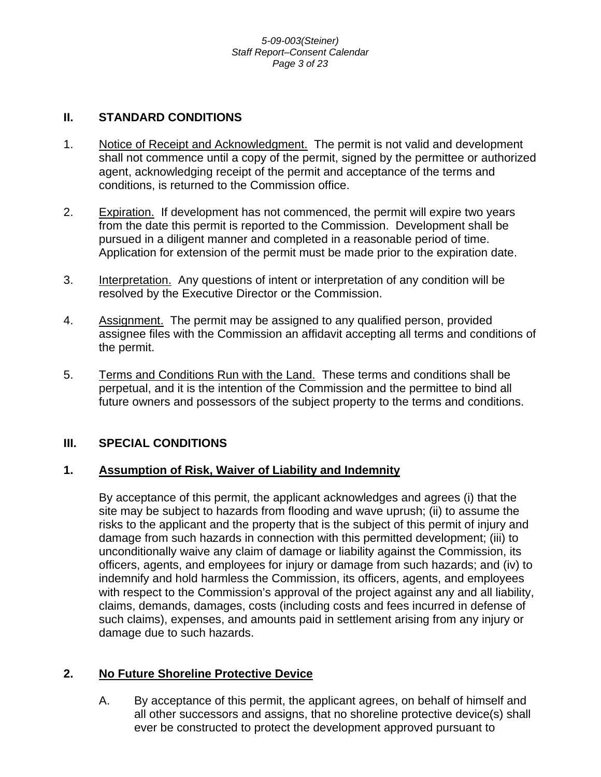## **II. STANDARD CONDITIONS**

- 1. Notice of Receipt and Acknowledgment. The permit is not valid and development shall not commence until a copy of the permit, signed by the permittee or authorized agent, acknowledging receipt of the permit and acceptance of the terms and conditions, is returned to the Commission office.
- 2. Expiration. If development has not commenced, the permit will expire two years from the date this permit is reported to the Commission. Development shall be pursued in a diligent manner and completed in a reasonable period of time. Application for extension of the permit must be made prior to the expiration date.
- 3. Interpretation. Any questions of intent or interpretation of any condition will be resolved by the Executive Director or the Commission.
- 4. Assignment. The permit may be assigned to any qualified person, provided assignee files with the Commission an affidavit accepting all terms and conditions of the permit.
- 5. Terms and Conditions Run with the Land. These terms and conditions shall be perpetual, and it is the intention of the Commission and the permittee to bind all future owners and possessors of the subject property to the terms and conditions.

## **III. SPECIAL CONDITIONS**

### **1. Assumption of Risk, Waiver of Liability and Indemnity**

By acceptance of this permit, the applicant acknowledges and agrees (i) that the site may be subject to hazards from flooding and wave uprush; (ii) to assume the risks to the applicant and the property that is the subject of this permit of injury and damage from such hazards in connection with this permitted development; (iii) to unconditionally waive any claim of damage or liability against the Commission, its officers, agents, and employees for injury or damage from such hazards; and (iv) to indemnify and hold harmless the Commission, its officers, agents, and employees with respect to the Commission's approval of the project against any and all liability, claims, demands, damages, costs (including costs and fees incurred in defense of such claims), expenses, and amounts paid in settlement arising from any injury or damage due to such hazards.

## **2. No Future Shoreline Protective Device**

A. By acceptance of this permit, the applicant agrees, on behalf of himself and all other successors and assigns, that no shoreline protective device(s) shall ever be constructed to protect the development approved pursuant to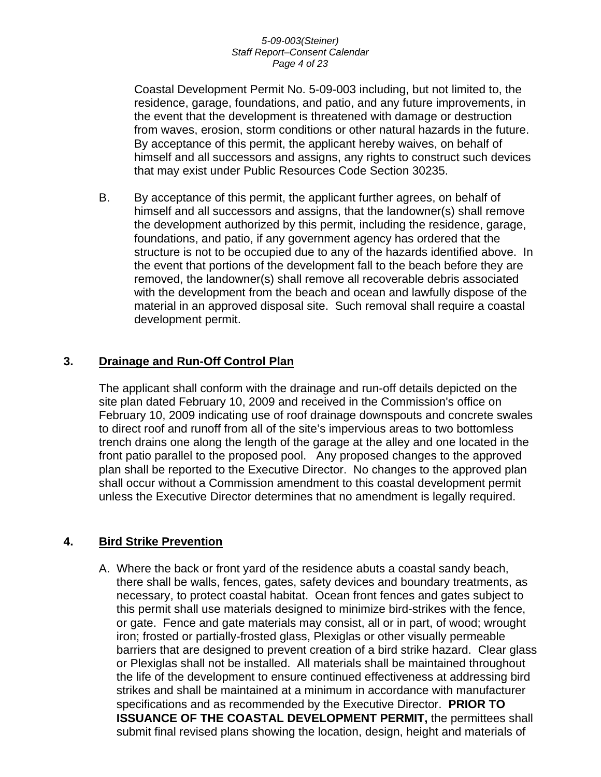### *5-09-003(Steiner) Staff Report–Consent Calendar Page 4 of 23*

Coastal Development Permit No. 5-09-003 including, but not limited to, the residence, garage, foundations, and patio, and any future improvements, in the event that the development is threatened with damage or destruction from waves, erosion, storm conditions or other natural hazards in the future. By acceptance of this permit, the applicant hereby waives, on behalf of himself and all successors and assigns, any rights to construct such devices that may exist under Public Resources Code Section 30235.

B. By acceptance of this permit, the applicant further agrees, on behalf of himself and all successors and assigns, that the landowner(s) shall remove the development authorized by this permit, including the residence, garage, foundations, and patio, if any government agency has ordered that the structure is not to be occupied due to any of the hazards identified above. In the event that portions of the development fall to the beach before they are removed, the landowner(s) shall remove all recoverable debris associated with the development from the beach and ocean and lawfully dispose of the material in an approved disposal site. Such removal shall require a coastal development permit.

## **3. Drainage and Run-Off Control Plan**

The applicant shall conform with the drainage and run-off details depicted on the site plan dated February 10, 2009 and received in the Commission's office on February 10, 2009 indicating use of roof drainage downspouts and concrete swales to direct roof and runoff from all of the site's impervious areas to two bottomless trench drains one along the length of the garage at the alley and one located in the front patio parallel to the proposed pool. Any proposed changes to the approved plan shall be reported to the Executive Director. No changes to the approved plan shall occur without a Commission amendment to this coastal development permit unless the Executive Director determines that no amendment is legally required.

### **4. Bird Strike Prevention**

A. Where the back or front yard of the residence abuts a coastal sandy beach, there shall be walls, fences, gates, safety devices and boundary treatments, as necessary, to protect coastal habitat. Ocean front fences and gates subject to this permit shall use materials designed to minimize bird-strikes with the fence, or gate. Fence and gate materials may consist, all or in part, of wood; wrought iron; frosted or partially-frosted glass, Plexiglas or other visually permeable barriers that are designed to prevent creation of a bird strike hazard. Clear glass or Plexiglas shall not be installed. All materials shall be maintained throughout the life of the development to ensure continued effectiveness at addressing bird strikes and shall be maintained at a minimum in accordance with manufacturer specifications and as recommended by the Executive Director. **PRIOR TO ISSUANCE OF THE COASTAL DEVELOPMENT PERMIT,** the permittees shall submit final revised plans showing the location, design, height and materials of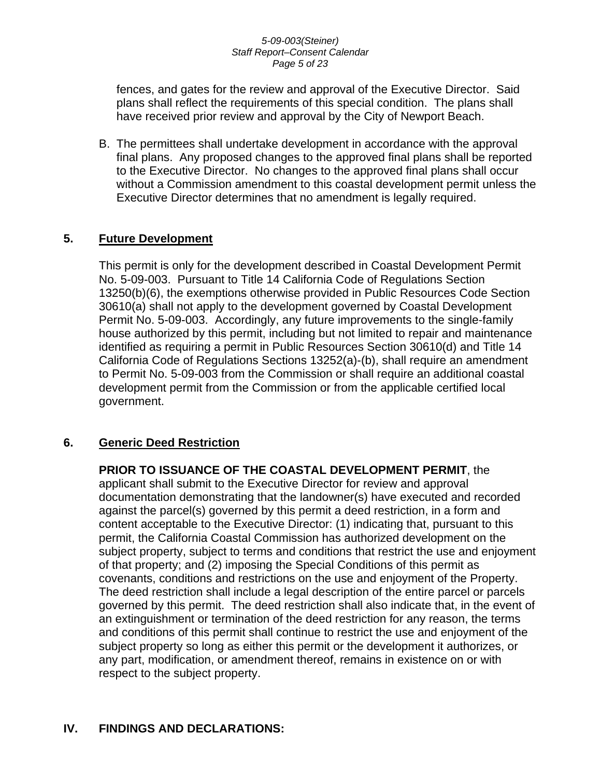### *5-09-003(Steiner) Staff Report–Consent Calendar Page 5 of 23*

fences, and gates for the review and approval of the Executive Director. Said plans shall reflect the requirements of this special condition. The plans shall have received prior review and approval by the City of Newport Beach.

B. The permittees shall undertake development in accordance with the approval final plans. Any proposed changes to the approved final plans shall be reported to the Executive Director. No changes to the approved final plans shall occur without a Commission amendment to this coastal development permit unless the Executive Director determines that no amendment is legally required.

## **5. Future Development**

This permit is only for the development described in Coastal Development Permit No. 5-09-003. Pursuant to Title 14 California Code of Regulations Section 13250(b)(6), the exemptions otherwise provided in Public Resources Code Section 30610(a) shall not apply to the development governed by Coastal Development Permit No. 5-09-003. Accordingly, any future improvements to the single-family house authorized by this permit, including but not limited to repair and maintenance identified as requiring a permit in Public Resources Section 30610(d) and Title 14 California Code of Regulations Sections 13252(a)-(b), shall require an amendment to Permit No. 5-09-003 from the Commission or shall require an additional coastal development permit from the Commission or from the applicable certified local government.

## **6. Generic Deed Restriction**

**PRIOR TO ISSUANCE OF THE COASTAL DEVELOPMENT PERMIT**, the applicant shall submit to the Executive Director for review and approval documentation demonstrating that the landowner(s) have executed and recorded against the parcel(s) governed by this permit a deed restriction, in a form and content acceptable to the Executive Director: (1) indicating that, pursuant to this permit, the California Coastal Commission has authorized development on the subject property, subject to terms and conditions that restrict the use and enjoyment of that property; and (2) imposing the Special Conditions of this permit as covenants, conditions and restrictions on the use and enjoyment of the Property. The deed restriction shall include a legal description of the entire parcel or parcels governed by this permit. The deed restriction shall also indicate that, in the event of an extinguishment or termination of the deed restriction for any reason, the terms and conditions of this permit shall continue to restrict the use and enjoyment of the subject property so long as either this permit or the development it authorizes, or any part, modification, or amendment thereof, remains in existence on or with respect to the subject property.

## **IV. FINDINGS AND DECLARATIONS:**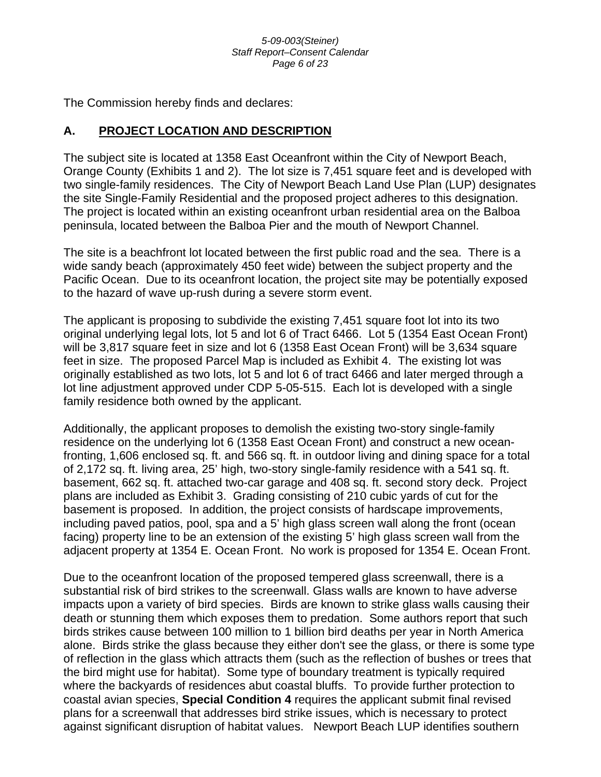### *5-09-003(Steiner) Staff Report–Consent Calendar Page 6 of 23*

The Commission hereby finds and declares:

## **A. PROJECT LOCATION AND DESCRIPTION**

The subject site is located at 1358 East Oceanfront within the City of Newport Beach, Orange County (Exhibits 1 and 2). The lot size is 7,451 square feet and is developed with two single-family residences. The City of Newport Beach Land Use Plan (LUP) designates the site Single-Family Residential and the proposed project adheres to this designation. The project is located within an existing oceanfront urban residential area on the Balboa peninsula, located between the Balboa Pier and the mouth of Newport Channel.

The site is a beachfront lot located between the first public road and the sea. There is a wide sandy beach (approximately 450 feet wide) between the subject property and the Pacific Ocean. Due to its oceanfront location, the project site may be potentially exposed to the hazard of wave up-rush during a severe storm event.

The applicant is proposing to subdivide the existing 7,451 square foot lot into its two original underlying legal lots, lot 5 and lot 6 of Tract 6466. Lot 5 (1354 East Ocean Front) will be 3,817 square feet in size and lot 6 (1358 East Ocean Front) will be 3,634 square feet in size. The proposed Parcel Map is included as Exhibit 4. The existing lot was originally established as two lots, lot 5 and lot 6 of tract 6466 and later merged through a lot line adjustment approved under CDP 5-05-515. Each lot is developed with a single family residence both owned by the applicant.

Additionally, the applicant proposes to demolish the existing two-story single-family residence on the underlying lot 6 (1358 East Ocean Front) and construct a new oceanfronting, 1,606 enclosed sq. ft. and 566 sq. ft. in outdoor living and dining space for a total of 2,172 sq. ft. living area, 25' high, two-story single-family residence with a 541 sq. ft. basement, 662 sq. ft. attached two-car garage and 408 sq. ft. second story deck. Project plans are included as Exhibit 3. Grading consisting of 210 cubic yards of cut for the basement is proposed. In addition, the project consists of hardscape improvements, including paved patios, pool, spa and a 5' high glass screen wall along the front (ocean facing) property line to be an extension of the existing 5' high glass screen wall from the adjacent property at 1354 E. Ocean Front. No work is proposed for 1354 E. Ocean Front.

Due to the oceanfront location of the proposed tempered glass screenwall, there is a substantial risk of bird strikes to the screenwall. Glass walls are known to have adverse impacts upon a variety of bird species. Birds are known to strike glass walls causing their death or stunning them which exposes them to predation. Some authors report that such birds strikes cause between 100 million to 1 billion bird deaths per year in North America alone. Birds strike the glass because they either don't see the glass, or there is some type of reflection in the glass which attracts them (such as the reflection of bushes or trees that the bird might use for habitat). Some type of boundary treatment is typically required where the backyards of residences abut coastal bluffs. To provide further protection to coastal avian species, **Special Condition 4** requires the applicant submit final revised plans for a screenwall that addresses bird strike issues, which is necessary to protect against significant disruption of habitat values. Newport Beach LUP identifies southern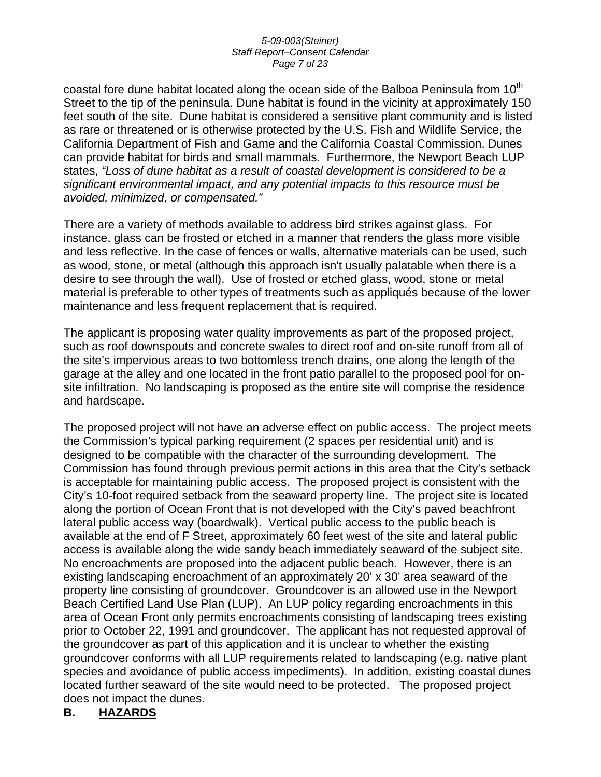### *5-09-003(Steiner) Staff Report–Consent Calendar Page 7 of 23*

coastal fore dune habitat located along the ocean side of the Balboa Peninsula from  $10<sup>th</sup>$ Street to the tip of the peninsula. Dune habitat is found in the vicinity at approximately 150 feet south of the site. Dune habitat is considered a sensitive plant community and is listed as rare or threatened or is otherwise protected by the U.S. Fish and Wildlife Service, the California Department of Fish and Game and the California Coastal Commission. Dunes can provide habitat for birds and small mammals. Furthermore, the Newport Beach LUP states, *"Loss of dune habitat as a result of coastal development is considered to be a significant environmental impact, and any potential impacts to this resource must be avoided, minimized, or compensated."* 

There are a variety of methods available to address bird strikes against glass. For instance, glass can be frosted or etched in a manner that renders the glass more visible and less reflective. In the case of fences or walls, alternative materials can be used, such as wood, stone, or metal (although this approach isn't usually palatable when there is a desire to see through the wall). Use of frosted or etched glass, wood, stone or metal material is preferable to other types of treatments such as appliqués because of the lower maintenance and less frequent replacement that is required.

The applicant is proposing water quality improvements as part of the proposed project, such as roof downspouts and concrete swales to direct roof and on-site runoff from all of the site's impervious areas to two bottomless trench drains, one along the length of the garage at the alley and one located in the front patio parallel to the proposed pool for onsite infiltration. No landscaping is proposed as the entire site will comprise the residence and hardscape.

The proposed project will not have an adverse effect on public access. The project meets the Commission's typical parking requirement (2 spaces per residential unit) and is designed to be compatible with the character of the surrounding development. The Commission has found through previous permit actions in this area that the City's setback is acceptable for maintaining public access. The proposed project is consistent with the City's 10-foot required setback from the seaward property line. The project site is located along the portion of Ocean Front that is not developed with the City's paved beachfront lateral public access way (boardwalk). Vertical public access to the public beach is available at the end of F Street, approximately 60 feet west of the site and lateral public access is available along the wide sandy beach immediately seaward of the subject site. No encroachments are proposed into the adjacent public beach. However, there is an existing landscaping encroachment of an approximately 20' x 30' area seaward of the property line consisting of groundcover. Groundcover is an allowed use in the Newport Beach Certified Land Use Plan (LUP). An LUP policy regarding encroachments in this area of Ocean Front only permits encroachments consisting of landscaping trees existing prior to October 22, 1991 and groundcover. The applicant has not requested approval of the groundcover as part of this application and it is unclear to whether the existing groundcover conforms with all LUP requirements related to landscaping (e.g. native plant species and avoidance of public access impediments). In addition, existing coastal dunes located further seaward of the site would need to be protected. The proposed project does not impact the dunes.

## **B. HAZARDS**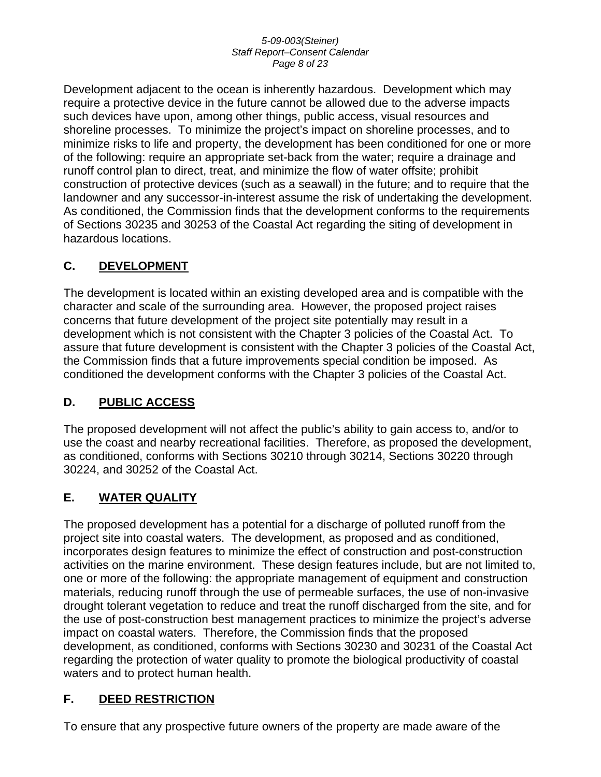### *5-09-003(Steiner) Staff Report–Consent Calendar Page 8 of 23*

Development adjacent to the ocean is inherently hazardous. Development which may require a protective device in the future cannot be allowed due to the adverse impacts such devices have upon, among other things, public access, visual resources and shoreline processes. To minimize the project's impact on shoreline processes, and to minimize risks to life and property, the development has been conditioned for one or more of the following: require an appropriate set-back from the water; require a drainage and runoff control plan to direct, treat, and minimize the flow of water offsite; prohibit construction of protective devices (such as a seawall) in the future; and to require that the landowner and any successor-in-interest assume the risk of undertaking the development. As conditioned, the Commission finds that the development conforms to the requirements of Sections 30235 and 30253 of the Coastal Act regarding the siting of development in hazardous locations.

## **C. DEVELOPMENT**

The development is located within an existing developed area and is compatible with the character and scale of the surrounding area. However, the proposed project raises concerns that future development of the project site potentially may result in a development which is not consistent with the Chapter 3 policies of the Coastal Act. To assure that future development is consistent with the Chapter 3 policies of the Coastal Act, the Commission finds that a future improvements special condition be imposed. As conditioned the development conforms with the Chapter 3 policies of the Coastal Act.

## **D. PUBLIC ACCESS**

The proposed development will not affect the public's ability to gain access to, and/or to use the coast and nearby recreational facilities. Therefore, as proposed the development, as conditioned, conforms with Sections 30210 through 30214, Sections 30220 through 30224, and 30252 of the Coastal Act.

## **E. WATER QUALITY**

The proposed development has a potential for a discharge of polluted runoff from the project site into coastal waters. The development, as proposed and as conditioned, incorporates design features to minimize the effect of construction and post-construction activities on the marine environment. These design features include, but are not limited to, one or more of the following: the appropriate management of equipment and construction materials, reducing runoff through the use of permeable surfaces, the use of non-invasive drought tolerant vegetation to reduce and treat the runoff discharged from the site, and for the use of post-construction best management practices to minimize the project's adverse impact on coastal waters. Therefore, the Commission finds that the proposed development, as conditioned, conforms with Sections 30230 and 30231 of the Coastal Act regarding the protection of water quality to promote the biological productivity of coastal waters and to protect human health.

## **F. DEED RESTRICTION**

To ensure that any prospective future owners of the property are made aware of the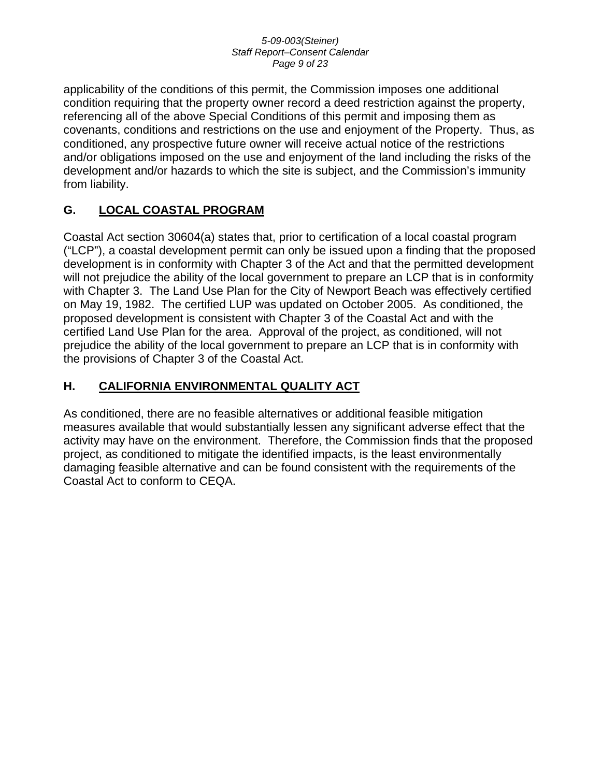### *5-09-003(Steiner) Staff Report–Consent Calendar Page 9 of 23*

applicability of the conditions of this permit, the Commission imposes one additional condition requiring that the property owner record a deed restriction against the property, referencing all of the above Special Conditions of this permit and imposing them as covenants, conditions and restrictions on the use and enjoyment of the Property. Thus, as conditioned, any prospective future owner will receive actual notice of the restrictions and/or obligations imposed on the use and enjoyment of the land including the risks of the development and/or hazards to which the site is subject, and the Commission's immunity from liability.

## **G. LOCAL COASTAL PROGRAM**

Coastal Act section 30604(a) states that, prior to certification of a local coastal program ("LCP"), a coastal development permit can only be issued upon a finding that the proposed development is in conformity with Chapter 3 of the Act and that the permitted development will not prejudice the ability of the local government to prepare an LCP that is in conformity with Chapter 3. The Land Use Plan for the City of Newport Beach was effectively certified on May 19, 1982. The certified LUP was updated on October 2005. As conditioned, the proposed development is consistent with Chapter 3 of the Coastal Act and with the certified Land Use Plan for the area. Approval of the project, as conditioned, will not prejudice the ability of the local government to prepare an LCP that is in conformity with the provisions of Chapter 3 of the Coastal Act.

## **H. CALIFORNIA ENVIRONMENTAL QUALITY ACT**

As conditioned, there are no feasible alternatives or additional feasible mitigation measures available that would substantially lessen any significant adverse effect that the activity may have on the environment. Therefore, the Commission finds that the proposed project, as conditioned to mitigate the identified impacts, is the least environmentally damaging feasible alternative and can be found consistent with the requirements of the Coastal Act to conform to CEQA.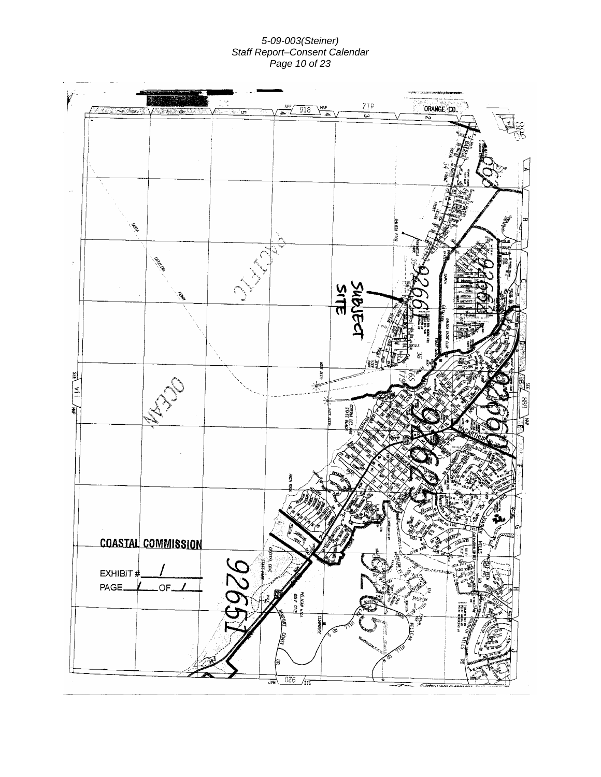### *5-09-003(Steiner) Staff Report–Consent Calendar Page 10 of 23*

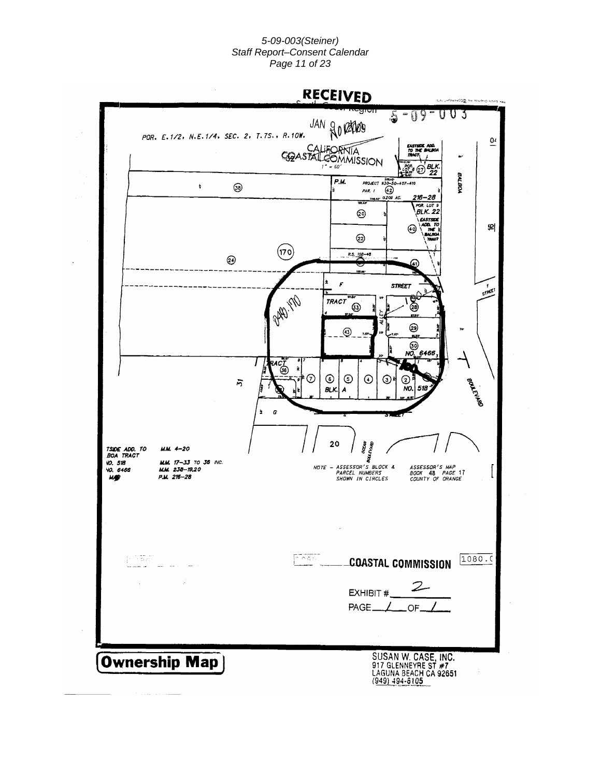### *5-09-003(Steiner) Staff Report–Consent Calendar Page 11 of 23*

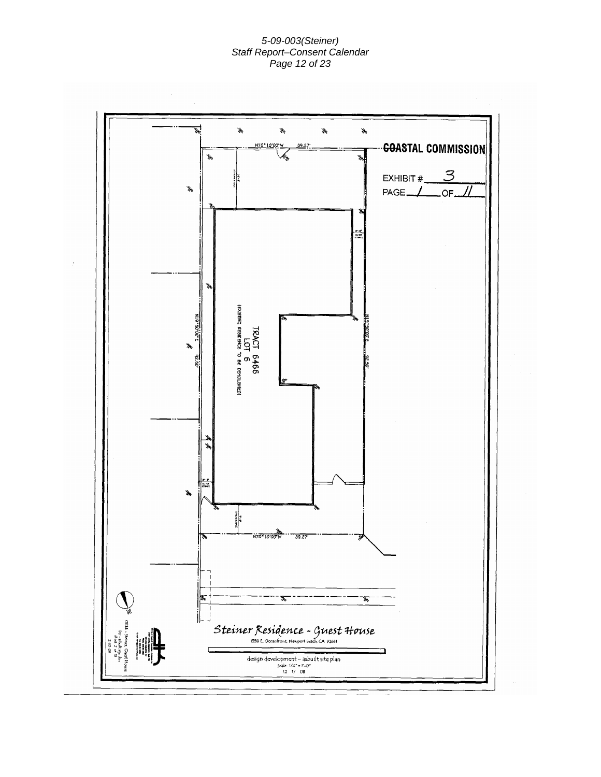#### *5-09-003(Steiner) Staff Report–Consent Calendar Page 12 of 23*

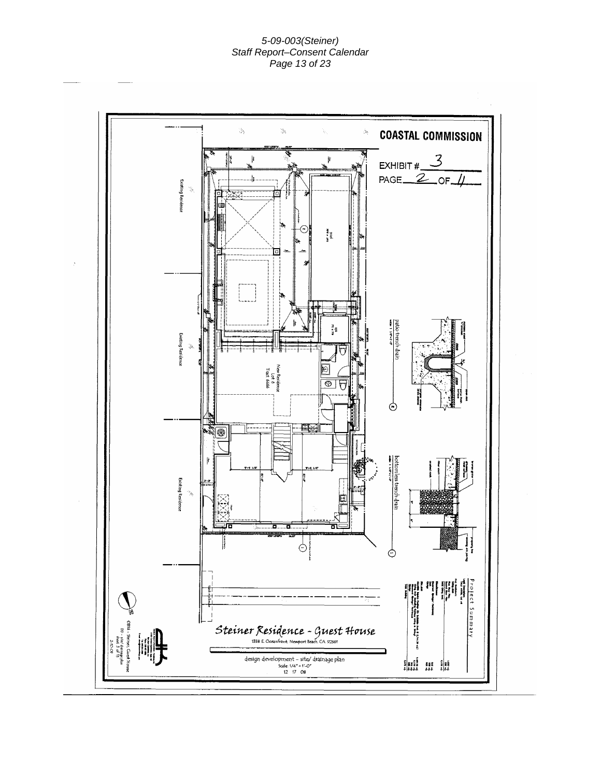### *5-09-003(Steiner) Staff Report–Consent Calendar Page 13 of 23*

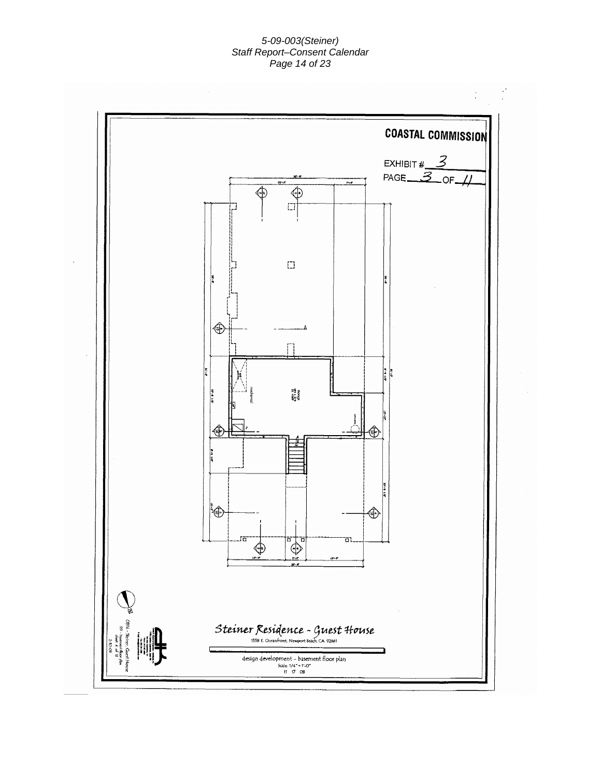### *5-09-003(Steiner) Staff Report–Consent Calendar Page 14 of 23*

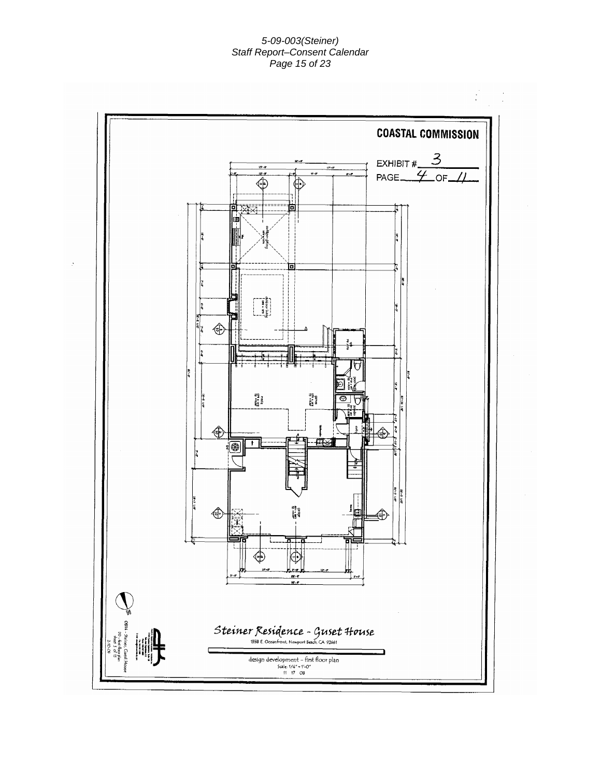### *5-09-003(Steiner) Staff Report–Consent Calendar Page 15 of 23*

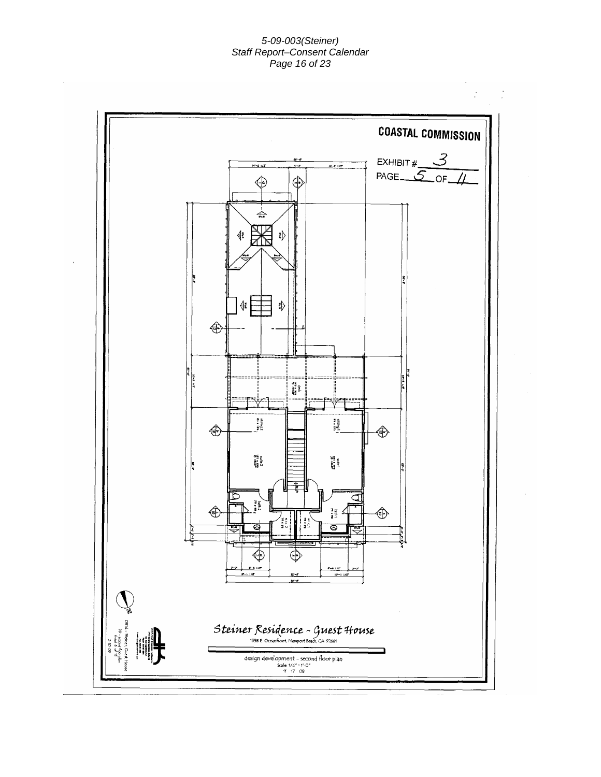### *5-09-003(Steiner) Staff Report–Consent Calendar Page 16 of 23*

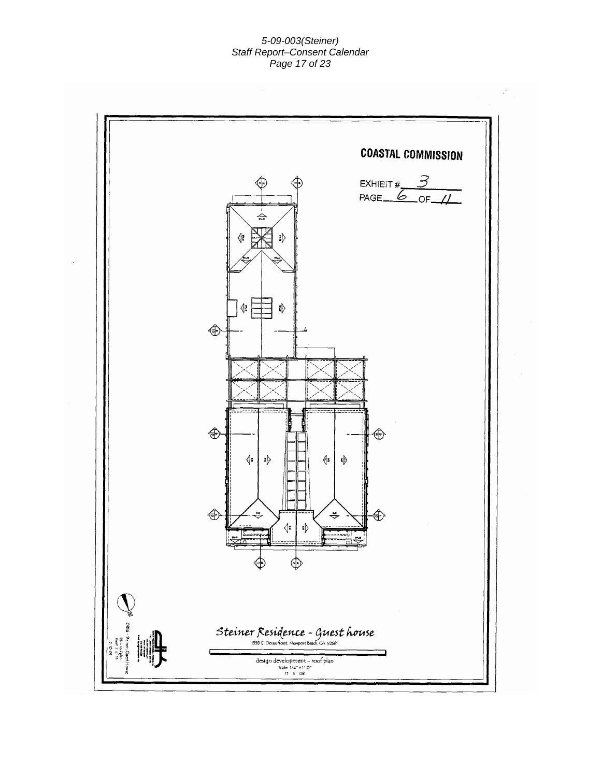### *5-09-003(Steiner) Staff Report–Consent Calendar Page 17 of 23*

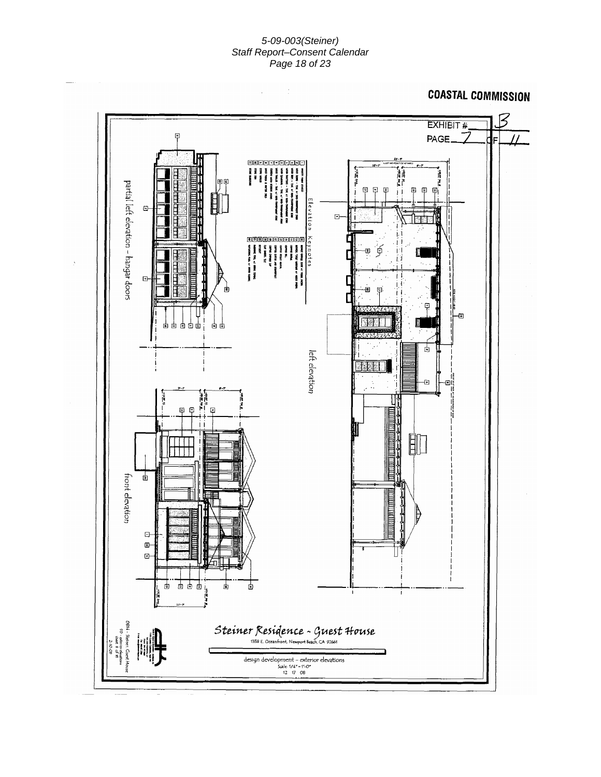### *5-09-003(Steiner) Staff Report–Consent Calendar Page 18 of 23*

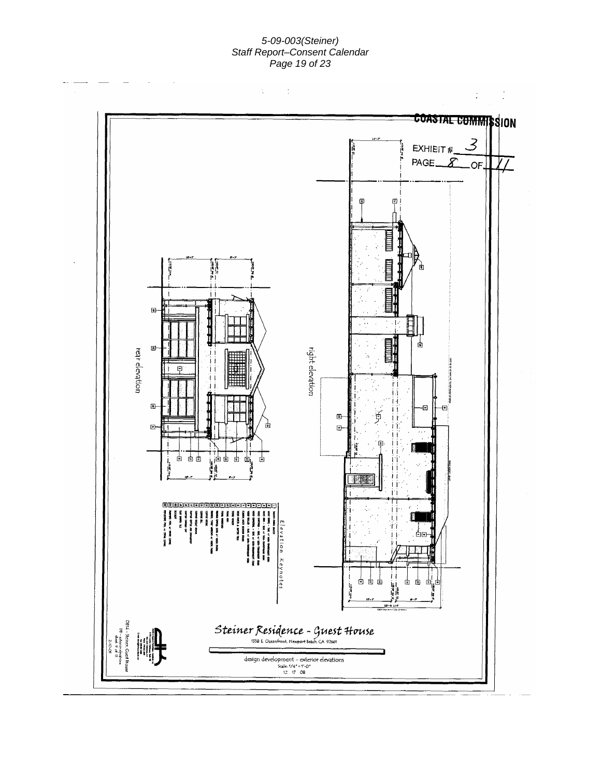### *5-09-003(Steiner) Staff Report–Consent Calendar Page 19 of 23*

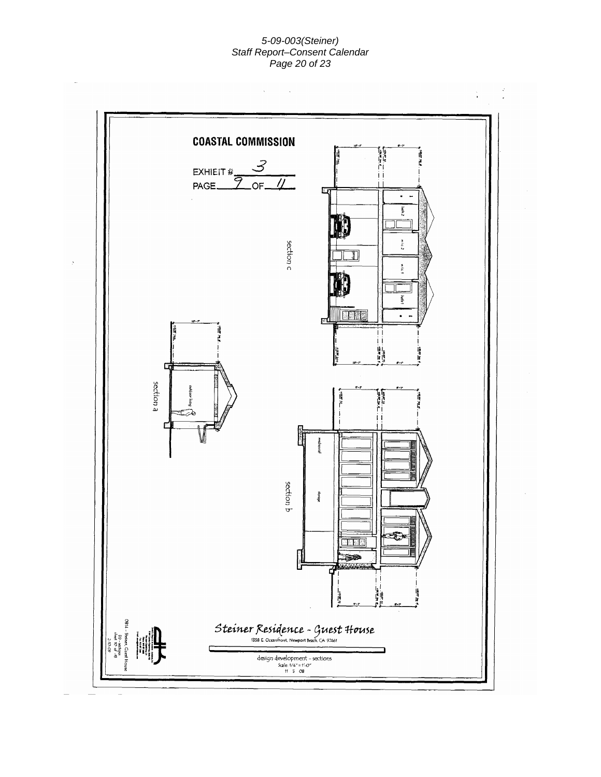### *5-09-003(Steiner) Staff Report–Consent Calendar Page 20 of 23*

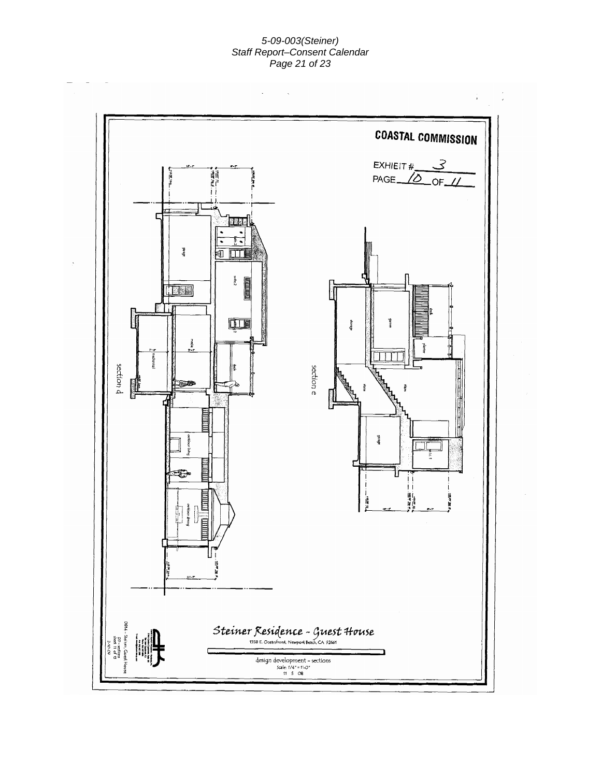#### *5-09-003(Steiner) Staff Report–Consent Calendar Page 21 of 23*

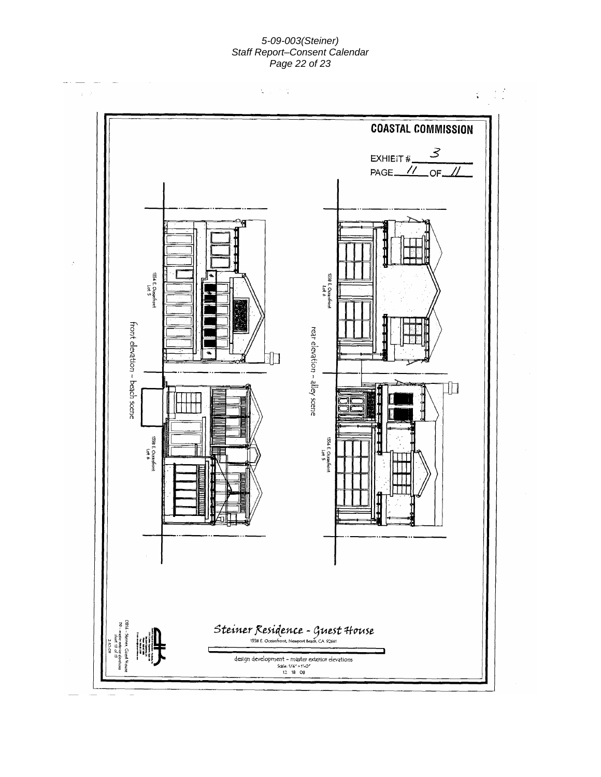#### *5-09-003(Steiner) Staff Report–Consent Calendar Page 22 of 23*